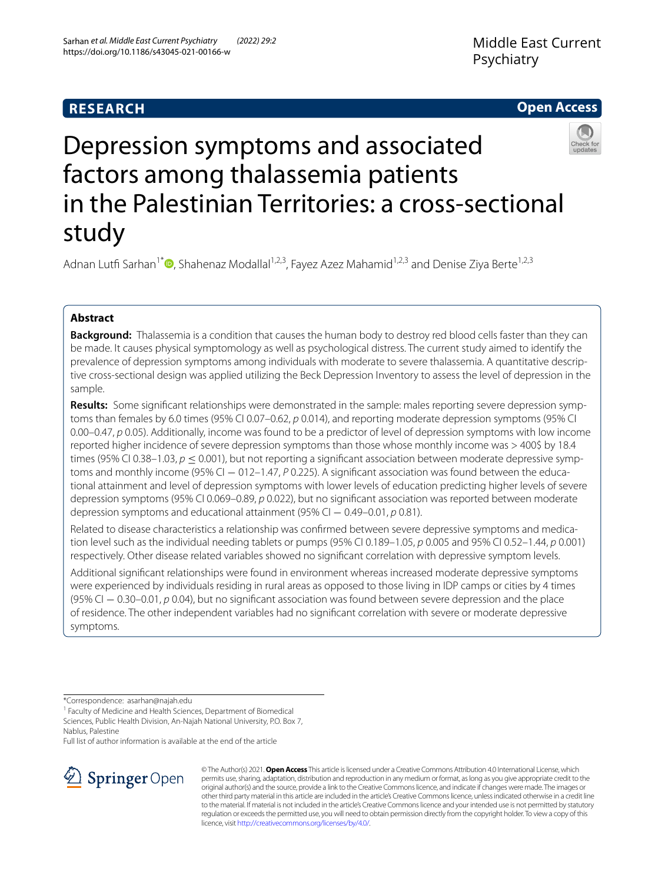# **RESEARCH**

# **Open Access**



# Depression symptoms and associated factors among thalassemia patients in the Palestinian Territories: a cross-sectional study

Adnan Lutfi Sarhan<sup>1\*</sup> [,](http://orcid.org/0000-0002-2604-8948) Shahenaz Modallal<sup>1,2,3</sup>, Fayez Azez Mahamid<sup>1,2,3</sup> and Denise Ziya Berte<sup>1,2,3</sup>

# **Abstract**

**Background:** Thalassemia is a condition that causes the human body to destroy red blood cells faster than they can be made. It causes physical symptomology as well as psychological distress. The current study aimed to identify the prevalence of depression symptoms among individuals with moderate to severe thalassemia. A quantitative descriptive cross-sectional design was applied utilizing the Beck Depression Inventory to assess the level of depression in the sample.

**Results:** Some signifcant relationships were demonstrated in the sample: males reporting severe depression symptoms than females by 6.0 times (95% CI 0.07–0.62, *p* 0.014), and reporting moderate depression symptoms (95% CI 0.00–0.47, *p* 0.05). Additionally, income was found to be a predictor of level of depression symptoms with low income reported higher incidence of severe depression symptoms than those whose monthly income was > 400\$ by 18.4 times (95% CI 0.38–1.03,  $p < 0.001$ ), but not reporting a significant association between moderate depressive symptoms and monthly income (95% CI − 012–1.47, *P* 0.225). A significant association was found between the educational attainment and level of depression symptoms with lower levels of education predicting higher levels of severe depression symptoms (95% CI 0.069–0.89, *p* 0.022), but no signifcant association was reported between moderate depression symptoms and educational attainment (95% CI − 0.49–0.01, *p* 0.81).

Related to disease characteristics a relationship was confrmed between severe depressive symptoms and medication level such as the individual needing tablets or pumps (95% CI 0.189–1.05, *p* 0.005 and 95% CI 0.52–1.44, *p* 0.001) respectively. Other disease related variables showed no signifcant correlation with depressive symptom levels.

Additional signifcant relationships were found in environment whereas increased moderate depressive symptoms were experienced by individuals residing in rural areas as opposed to those living in IDP camps or cities by 4 times (95% CI − 0.30–0.01, *p* 0.04), but no signifcant association was found between severe depression and the place of residence. The other independent variables had no signifcant correlation with severe or moderate depressive symptoms.

\*Correspondence: asarhan@najah.edu

<sup>1</sup> Faculty of Medicine and Health Sciences, Department of Biomedical Sciences, Public Health Division, An-Najah National University, P.O. Box 7, Nablus, Palestine

Full list of author information is available at the end of the article



© The Author(s) 2021. **Open Access** This article is licensed under a Creative Commons Attribution 4.0 International License, which permits use, sharing, adaptation, distribution and reproduction in any medium or format, as long as you give appropriate credit to the original author(s) and the source, provide a link to the Creative Commons licence, and indicate if changes were made. The images or other third party material in this article are included in the article's Creative Commons licence, unless indicated otherwise in a credit line to the material. If material is not included in the article's Creative Commons licence and your intended use is not permitted by statutory regulation or exceeds the permitted use, you will need to obtain permission directly from the copyright holder. To view a copy of this licence, visit [http://creativecommons.org/licenses/by/4.0/.](http://creativecommons.org/licenses/by/4.0/)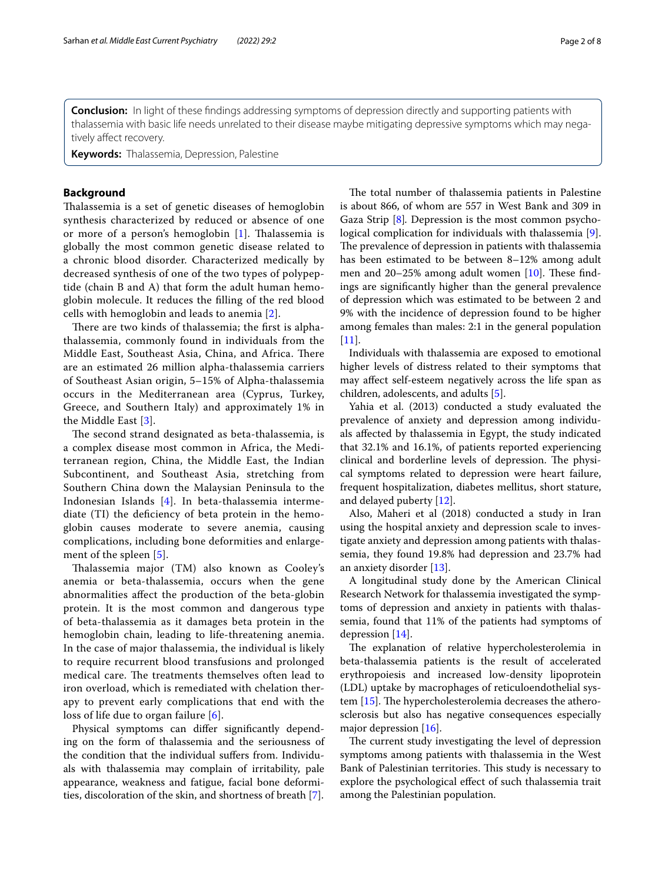**Conclusion:** In light of these fndings addressing symptoms of depression directly and supporting patients with thalassemia with basic life needs unrelated to their disease maybe mitigating depressive symptoms which may negatively affect recovery.

**Keywords:** Thalassemia, Depression, Palestine

#### **Background**

Thalassemia is a set of genetic diseases of hemoglobin synthesis characterized by reduced or absence of one or more of a person's hemoglobin [\[1](#page-6-0)]. Talassemia is globally the most common genetic disease related to a chronic blood disorder. Characterized medically by decreased synthesis of one of the two types of polypeptide (chain B and A) that form the adult human hemoglobin molecule. It reduces the flling of the red blood cells with hemoglobin and leads to anemia [[2\]](#page-6-1).

There are two kinds of thalassemia; the first is alphathalassemia, commonly found in individuals from the Middle East, Southeast Asia, China, and Africa. There are an estimated 26 million alpha-thalassemia carriers of Southeast Asian origin, 5–15% of Alpha-thalassemia occurs in the Mediterranean area (Cyprus, Turkey, Greece, and Southern Italy) and approximately 1% in the Middle East [[3\]](#page-6-2).

The second strand designated as beta-thalassemia, is a complex disease most common in Africa, the Mediterranean region, China, the Middle East, the Indian Subcontinent, and Southeast Asia, stretching from Southern China down the Malaysian Peninsula to the Indonesian Islands [[4](#page-6-3)]. In beta-thalassemia intermediate (TI) the defciency of beta protein in the hemoglobin causes moderate to severe anemia, causing complications, including bone deformities and enlarge-ment of the spleen [\[5](#page-6-4)].

Thalassemia major (TM) also known as Cooley's anemia or beta-thalassemia, occurs when the gene abnormalities afect the production of the beta-globin protein. It is the most common and dangerous type of beta-thalassemia as it damages beta protein in the hemoglobin chain, leading to life-threatening anemia. In the case of major thalassemia, the individual is likely to require recurrent blood transfusions and prolonged medical care. The treatments themselves often lead to iron overload, which is remediated with chelation therapy to prevent early complications that end with the loss of life due to organ failure [[6\]](#page-6-5).

Physical symptoms can difer signifcantly depending on the form of thalassemia and the seriousness of the condition that the individual sufers from. Individuals with thalassemia may complain of irritability, pale appearance, weakness and fatigue, facial bone deformities, discoloration of the skin, and shortness of breath [[7\]](#page-6-6).

The total number of thalassemia patients in Palestine is about 866, of whom are 557 in West Bank and 309 in Gaza Strip [[8\]](#page-6-7)*.* Depression is the most common psychological complication for individuals with thalassemia [\[9](#page-6-8)]. The prevalence of depression in patients with thalassemia has been estimated to be between 8–12% among adult men and  $20-25%$  among adult women  $[10]$ . These findings are signifcantly higher than the general prevalence of depression which was estimated to be between 2 and 9% with the incidence of depression found to be higher among females than males: 2:1 in the general population  $[11]$  $[11]$ .

Individuals with thalassemia are exposed to emotional higher levels of distress related to their symptoms that may afect self-esteem negatively across the life span as children, adolescents, and adults [[5\]](#page-6-4).

Yahia et al. (2013) conducted a study evaluated the prevalence of anxiety and depression among individuals afected by thalassemia in Egypt, the study indicated that 32.1% and 16.1%, of patients reported experiencing clinical and borderline levels of depression. The physical symptoms related to depression were heart failure, frequent hospitalization, diabetes mellitus, short stature, and delayed puberty [[12\]](#page-6-11).

Also, Maheri et al (2018) conducted a study in Iran using the hospital anxiety and depression scale to investigate anxiety and depression among patients with thalassemia, they found 19.8% had depression and 23.7% had an anxiety disorder [\[13](#page-6-12)].

A longitudinal study done by the American Clinical Research Network for thalassemia investigated the symptoms of depression and anxiety in patients with thalassemia, found that 11% of the patients had symptoms of depression [\[14](#page-6-13)].

The explanation of relative hypercholesterolemia in beta-thalassemia patients is the result of accelerated erythropoiesis and increased low-density lipoprotein (LDL) uptake by macrophages of reticuloendothelial system  $[15]$ . The hypercholesterolemia decreases the atherosclerosis but also has negative consequences especially major depression [[16\]](#page-6-15).

The current study investigating the level of depression symptoms among patients with thalassemia in the West Bank of Palestinian territories. This study is necessary to explore the psychological efect of such thalassemia trait among the Palestinian population.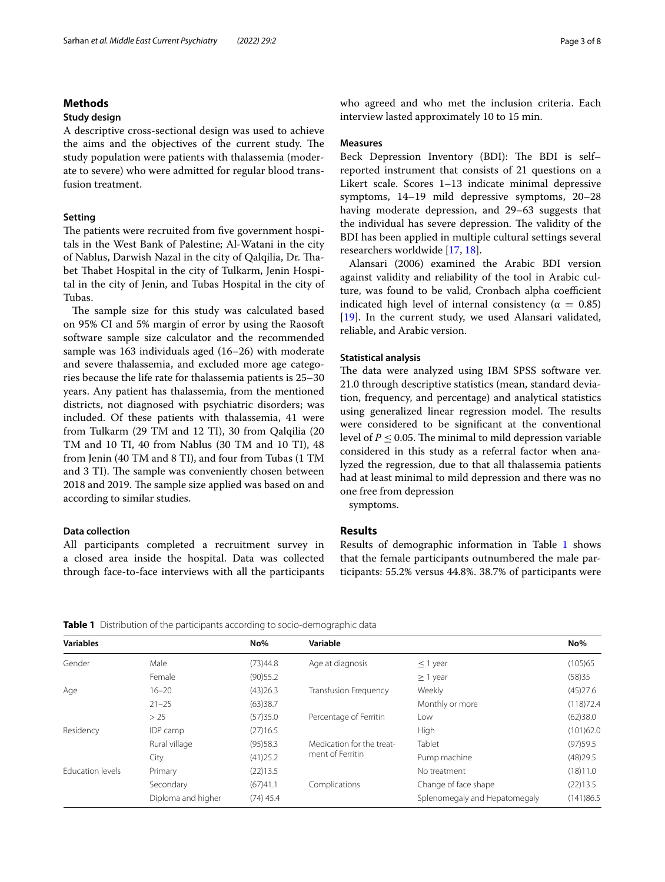## **Methods**

#### **Study design**

A descriptive cross-sectional design was used to achieve the aims and the objectives of the current study. The study population were patients with thalassemia (moderate to severe) who were admitted for regular blood transfusion treatment.

#### **Setting**

The patients were recruited from five government hospitals in the West Bank of Palestine; Al-Watani in the city of Nablus, Darwish Nazal in the city of Qalqilia, Dr. Tabet Thabet Hospital in the city of Tulkarm, Jenin Hospital in the city of Jenin, and Tubas Hospital in the city of Tubas.

The sample size for this study was calculated based on 95% CI and 5% margin of error by using the Raosoft software sample size calculator and the recommended sample was 163 individuals aged (16–26) with moderate and severe thalassemia, and excluded more age categories because the life rate for thalassemia patients is 25–30 years. Any patient has thalassemia, from the mentioned districts, not diagnosed with psychiatric disorders; was included. Of these patients with thalassemia, 41 were from Tulkarm (29 TM and 12 TI), 30 from Qalqilia (20 TM and 10 TI, 40 from Nablus (30 TM and 10 TI), 48 from Jenin (40 TM and 8 TI), and four from Tubas (1 TM and 3 TI). The sample was conveniently chosen between 2018 and 2019. The sample size applied was based on and according to similar studies.

#### **Data collection**

All participants completed a recruitment survey in a closed area inside the hospital. Data was collected through face-to-face interviews with all the participants who agreed and who met the inclusion criteria. Each interview lasted approximately 10 to 15 min.

#### **Measures**

Beck Depression Inventory (BDI): The BDI is selfreported instrument that consists of 21 questions on a Likert scale. Scores 1–13 indicate minimal depressive symptoms, 14–19 mild depressive symptoms, 20–28 having moderate depression, and 29–63 suggests that the individual has severe depression. The validity of the BDI has been applied in multiple cultural settings several researchers worldwide [\[17,](#page-6-16) [18](#page-6-17)].

Alansari (2006) examined the Arabic BDI version against validity and reliability of the tool in Arabic culture, was found to be valid, Cronbach alpha coefficient indicated high level of internal consistency ( $\alpha = 0.85$ ) [[19\]](#page-6-18). In the current study, we used Alansari validated, reliable, and Arabic version.

#### **Statistical analysis**

The data were analyzed using IBM SPSS software ver. 21.0 through descriptive statistics (mean, standard deviation, frequency, and percentage) and analytical statistics using generalized linear regression model. The results were considered to be signifcant at the conventional level of  $P \leq 0.05$ . The minimal to mild depression variable considered in this study as a referral factor when analyzed the regression, due to that all thalassemia patients had at least minimal to mild depression and there was no one free from depression

symptoms.

#### **Results**

Results of demographic information in Table [1](#page-2-0) shows that the female participants outnumbered the male participants: 55.2% versus 44.8%. 38.7% of participants were

<span id="page-2-0"></span>**Table 1** Distribution of the participants according to socio-demographic data

| <b>Variables</b>        |                    | No%         | Variable                     |                               | $No\%$    |
|-------------------------|--------------------|-------------|------------------------------|-------------------------------|-----------|
| Gender                  | Male               | (73)44.8    | Age at diagnosis             | $\leq$ 1 year                 | (105)65   |
|                         | Female             | (90)55.2    |                              | $\geq$ 1 year                 | (58)35    |
| Age                     | $16 - 20$          | (43)26.3    | <b>Transfusion Frequency</b> | Weekly                        | (45)27.6  |
|                         | $21 - 25$          | (63)38.7    |                              | Monthly or more               | (118)72.4 |
|                         | > 25               | (57)35.0    | Percentage of Ferritin       | Low                           | (62)38.0  |
| Residency               | IDP camp           | (27)16.5    |                              | High                          | (101)62.0 |
|                         | Rural village      | (95)58.3    | Medication for the treat-    | Tablet                        | (97)59.5  |
|                         | City               | (41)25.2    | ment of Ferritin             | Pump machine                  | (48)29.5  |
| <b>Education levels</b> | Primary            | (22)13.5    |                              | No treatment                  | (18)11.0  |
|                         | Secondary          | (67)41.1    | Complications                | Change of face shape          | (22)13.5  |
|                         | Diploma and higher | $(74)$ 45.4 |                              | Splenomegaly and Hepatomegaly | (141)86.5 |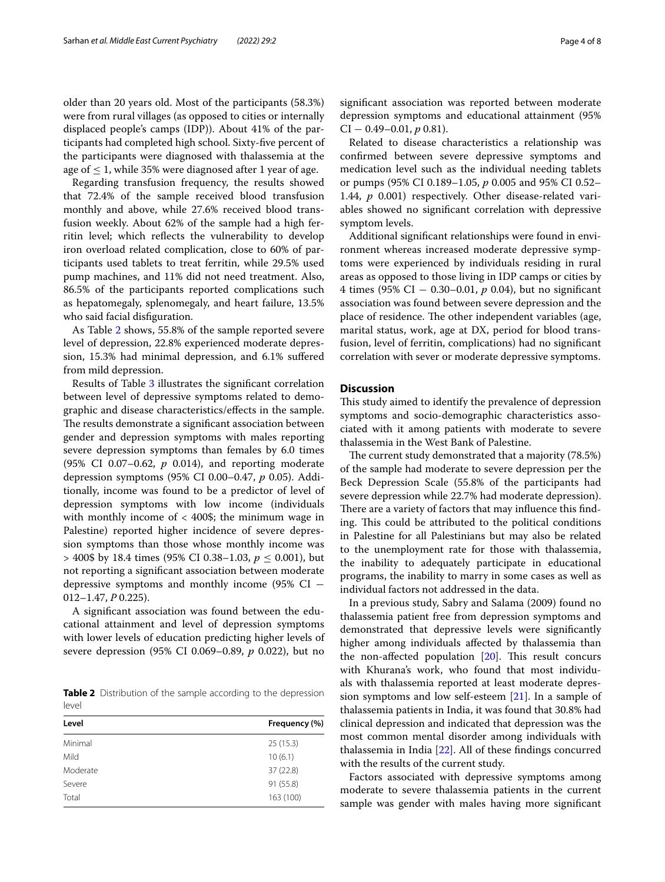older than 20 years old. Most of the participants (58.3%) were from rural villages (as opposed to cities or internally displaced people's camps (IDP)). About 41% of the participants had completed high school. Sixty-fve percent of the participants were diagnosed with thalassemia at the age of  $\leq$  1, while 35% were diagnosed after 1 year of age.

Regarding transfusion frequency, the results showed that 72.4% of the sample received blood transfusion monthly and above, while 27.6% received blood transfusion weekly. About 62% of the sample had a high ferritin level; which refects the vulnerability to develop iron overload related complication, close to 60% of participants used tablets to treat ferritin, while 29.5% used pump machines, and 11% did not need treatment. Also, 86.5% of the participants reported complications such as hepatomegaly, splenomegaly, and heart failure, 13.5% who said facial disfguration.

As Table [2](#page-3-0) shows, 55.8% of the sample reported severe level of depression, 22.8% experienced moderate depression, 15.3% had minimal depression, and 6.1% sufered from mild depression.

Results of Table [3](#page-4-0) illustrates the signifcant correlation between level of depressive symptoms related to demographic and disease characteristics/efects in the sample. The results demonstrate a significant association between gender and depression symptoms with males reporting severe depression symptoms than females by 6.0 times (95% CI 0.07–0.62, *p* 0.014), and reporting moderate depression symptoms (95% CI 0.00–0.47, *p* 0.05). Additionally, income was found to be a predictor of level of depression symptoms with low income (individuals with monthly income of  $<$  400\$; the minimum wage in Palestine) reported higher incidence of severe depression symptoms than those whose monthly income was  $>$  400\$ by 18.4 times (95% CI 0.38–1.03,  $p \le 0.001$ ), but not reporting a signifcant association between moderate depressive symptoms and monthly income (95% CI  $-$ 012–1.47, *P* 0.225).

A signifcant association was found between the educational attainment and level of depression symptoms with lower levels of education predicting higher levels of severe depression (95% CI 0.069–0.89, *p* 0.022), but no

<span id="page-3-0"></span>**Table 2** Distribution of the sample according to the depression level

| Level    | Frequency (%) |
|----------|---------------|
| Minimal  | 25(15.3)      |
| Mild     | 10(6.1)       |
| Moderate | 37(22.8)      |
| Severe   | 91 (55.8)     |
| Total    | 163 (100)     |

signifcant association was reported between moderate depression symptoms and educational attainment (95%  $CI - 0.49 - 0.01, p 0.81$ .

Related to disease characteristics a relationship was confrmed between severe depressive symptoms and medication level such as the individual needing tablets or pumps (95% CI 0.189–1.05, *p* 0.005 and 95% CI 0.52– 1.44, *p* 0.001) respectively. Other disease-related variables showed no signifcant correlation with depressive symptom levels.

Additional signifcant relationships were found in environment whereas increased moderate depressive symptoms were experienced by individuals residing in rural areas as opposed to those living in IDP camps or cities by 4 times (95% CI − 0.30–0.01, *p* 0.04), but no signifcant association was found between severe depression and the place of residence. The other independent variables (age, marital status, work, age at DX, period for blood transfusion, level of ferritin, complications) had no signifcant correlation with sever or moderate depressive symptoms.

## **Discussion**

This study aimed to identify the prevalence of depression symptoms and socio-demographic characteristics associated with it among patients with moderate to severe thalassemia in the West Bank of Palestine.

The current study demonstrated that a majority (78.5%) of the sample had moderate to severe depression per the Beck Depression Scale (55.8% of the participants had severe depression while 22.7% had moderate depression). There are a variety of factors that may influence this finding. This could be attributed to the political conditions in Palestine for all Palestinians but may also be related to the unemployment rate for those with thalassemia, the inability to adequately participate in educational programs, the inability to marry in some cases as well as individual factors not addressed in the data.

In a previous study, Sabry and Salama (2009) found no thalassemia patient free from depression symptoms and demonstrated that depressive levels were signifcantly higher among individuals afected by thalassemia than the non-affected population  $[20]$  $[20]$ . This result concurs with Khurana's work, who found that most individuals with thalassemia reported at least moderate depression symptoms and low self-esteem [[21\]](#page-6-20). In a sample of thalassemia patients in India, it was found that 30.8% had clinical depression and indicated that depression was the most common mental disorder among individuals with thalassemia in India [\[22\]](#page-6-21). All of these fndings concurred with the results of the current study.

Factors associated with depressive symptoms among moderate to severe thalassemia patients in the current sample was gender with males having more signifcant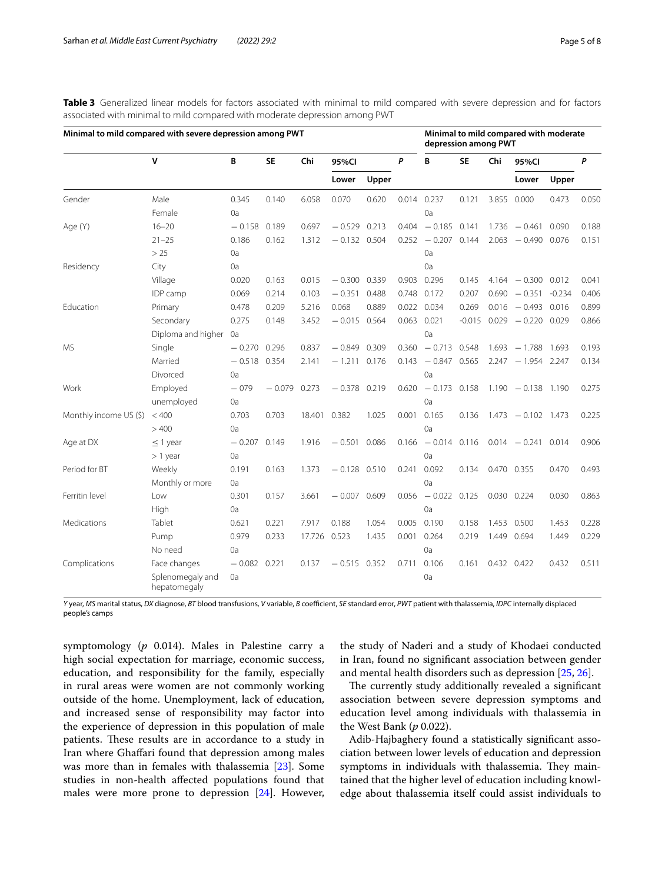| Minimal to mild compared with severe depression among PWT |                                  |          |           |        |                |       | Minimal to mild compared with moderate<br>depression among PWT |                 |           |       |                         |       |       |
|-----------------------------------------------------------|----------------------------------|----------|-----------|--------|----------------|-------|----------------------------------------------------------------|-----------------|-----------|-------|-------------------------|-------|-------|
|                                                           | $\mathsf{v}$                     | B        | <b>SE</b> | Chi    | 95%CI          |       | P                                                              | B               | <b>SE</b> | Chi   | 95%CI                   |       | P     |
|                                                           |                                  |          |           |        | Lower          | Upper |                                                                |                 |           |       | Lower                   | Upper |       |
| Gender                                                    | Male                             | 0.345    | 0.140     | 6.058  | 0.070          | 0.620 | 0.014                                                          | 0.237           | 0.121     | 3.855 | 0.000                   | 0.473 | 0.050 |
|                                                           | Female                           | 0a       |           |        |                |       |                                                                | 0a              |           |       |                         |       |       |
| Age (Y)                                                   | $16 - 20$                        | $-0.158$ | 0.189     | 0.697  | $-0.529$ 0.213 |       | 0.404                                                          | $-0.185$        | 0.141     |       | $1.736 - 0.461$         | 0.090 | 0.188 |
|                                                           | $21 - 25$                        | 0.186    | 0.162     | 1.312  | $-0.132$ 0.504 |       | 0.252                                                          | $-0.207$ 0.144  |           |       | $2.063 - 0.490$         | 0.076 | 0.151 |
|                                                           | > 25                             | 0a       |           |        |                |       |                                                                | 0a              |           |       |                         |       |       |
| Residency                                                 | City                             | 0a       |           |        |                |       |                                                                | 0a              |           |       |                         |       |       |
|                                                           | Village                          | 0.020    | 0.163     | 0.015  | $-0.300$       | 0.339 | 0.903                                                          | 0.296           | 0.145     |       | $4.164 - 0.300$         | 0.012 | 0.041 |
|                                                           | IDP camp                         | 0.069    | 0.214     | 0.103  | $-0.351$       | 0.488 |                                                                | 0.748 0.172     | 0.207     |       | $0.690 - 0.351 - 0.234$ |       | 0.406 |
| Education                                                 | Primary                          | 0.478    | 0.209     | 5.216  | 0.068          | 0.889 |                                                                | 0.022 0.034     | 0.269     |       | $0.016 - 0.493 0.016$   |       | 0.899 |
|                                                           | Secondary                        | 0.275    | 0.148     | 3.452  | $-0.015$ 0.564 |       | 0.063                                                          | 0.021           | $-0.015$  |       | $0.029 - 0.220$         | 0.029 | 0.866 |
|                                                           | Diploma and higher               | 0a       |           |        |                |       |                                                                | 0a              |           |       |                         |       |       |
| <b>MS</b>                                                 | Single                           | $-0.270$ | 0.296     | 0.837  | $-0.849$ 0.309 |       | 0.360                                                          | $-0.713$        | 0.548     |       | $1.693 - 1.788$ 1.693   |       | 0.193 |
|                                                           | Married                          | $-0.518$ | 0.354     | 2.141  | $-1.211$       | 0.176 | 0.143                                                          | $-0.847$        | 0.565     |       | $2.247 - 1.954$         | 2.247 | 0.134 |
|                                                           | Divorced                         | 0a       |           |        |                |       |                                                                | 0a              |           |       |                         |       |       |
| Work                                                      | Employed                         | $-079$   | $-0.079$  | 0.273  | $-0.378$       | 0.219 | 0.620                                                          | $-0.173$        | 0.158     |       | $1.190 - 0.138$ 1.190   |       | 0.275 |
|                                                           | unemployed                       | 0a       |           |        |                |       |                                                                | 0a              |           |       |                         |       |       |
| Monthly income US (\$)                                    | < 400                            | 0.703    | 0.703     | 18.401 | 0.382          | 1.025 | 0.001                                                          | 0.165           | 0.136     |       | $1.473 - 0.102$ 1.473   |       | 0.225 |
|                                                           | >400                             | 0a       |           |        |                |       |                                                                | 0a              |           |       |                         |       |       |
| Age at DX                                                 | $\leq$ 1 year                    | $-0.207$ | 0.149     | 1.916  | $-0.501$       | 0.086 |                                                                | $0.166 - 0.014$ | 0.116     |       | $0.014 - 0.241$         | 0.014 | 0.906 |
|                                                           | $> 1$ year                       | 0a       |           |        |                |       |                                                                | 0a              |           |       |                         |       |       |
| Period for BT                                             | Weekly                           | 0.191    | 0.163     | 1.373  | $-0.128$ 0.510 |       | 0.241                                                          | 0.092           | 0.134     |       | 0.470 0.355             | 0.470 | 0.493 |
|                                                           | Monthly or more                  | 0a       |           |        |                |       |                                                                | 0a              |           |       |                         |       |       |
| Ferritin level                                            | Low                              | 0.301    | 0.157     | 3.661  | $-0.007$ 0.609 |       | 0.056                                                          | $-0.022$ 0.125  |           |       | 0.030 0.224             | 0.030 | 0.863 |
|                                                           | High                             | 0a       |           |        |                |       |                                                                | 0a              |           |       |                         |       |       |
| Medications                                               | Tablet                           | 0.621    | 0.221     | 7.917  | 0.188          | 1.054 | 0.005                                                          | 0.190           | 0.158     | 1.453 | 0.500                   | 1.453 | 0.228 |
|                                                           | Pump                             | 0.979    | 0.233     | 17.726 | 0.523          | 1.435 | 0.001                                                          | 0.264           | 0.219     | 1.449 | 0.694                   | 1.449 | 0.229 |
|                                                           | No need                          | 0a       |           |        |                |       |                                                                | 0a              |           |       |                         |       |       |
| Complications                                             | Face changes                     | $-0.082$ | 0.221     | 0.137  | $-0.515$ 0.352 |       | 0.711                                                          | 0.106           | 0.161     |       | 0.432 0.422             | 0.432 | 0.511 |
|                                                           | Splenomegaly and<br>hepatomegaly | 0a       |           |        |                |       |                                                                | 0a              |           |       |                         |       |       |

<span id="page-4-0"></span>**Table 3** Generalized linear models for factors associated with minimal to mild compared with severe depression and for factors associated with minimal to mild compared with moderate depression among PWT

Y year, MS marital status, DX diagnose, BT blood transfusions, V variable, B coefficient, SE standard error, PWT patient with thalassemia, IDPC internally displaced people's camps

symptomology (*p* 0.014). Males in Palestine carry a high social expectation for marriage, economic success, education, and responsibility for the family, especially in rural areas were women are not commonly working outside of the home. Unemployment, lack of education, and increased sense of responsibility may factor into the experience of depression in this population of male patients. These results are in accordance to a study in Iran where Ghafari found that depression among males was more than in females with thalassemia [\[23](#page-6-22)]. Some studies in non-health afected populations found that males were more prone to depression [[24\]](#page-6-23). However,

the study of Naderi and a study of Khodaei conducted in Iran, found no signifcant association between gender and mental health disorders such as depression [[25](#page-6-24), [26\]](#page-6-25).

The currently study additionally revealed a significant association between severe depression symptoms and education level among individuals with thalassemia in the West Bank (*p* 0.022).

Adib-Hajbaghery found a statistically signifcant association between lower levels of education and depression symptoms in individuals with thalassemia. They maintained that the higher level of education including knowledge about thalassemia itself could assist individuals to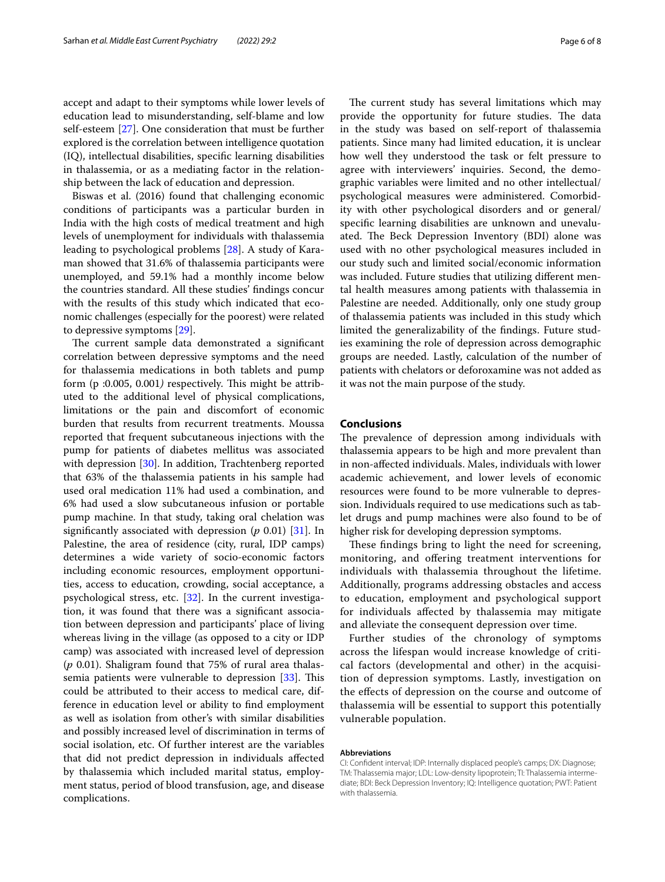accept and adapt to their symptoms while lower levels of education lead to misunderstanding, self-blame and low self-esteem [[27\]](#page-6-26). One consideration that must be further explored is the correlation between intelligence quotation (IQ), intellectual disabilities, specifc learning disabilities in thalassemia, or as a mediating factor in the relationship between the lack of education and depression.

Biswas et al. (2016) found that challenging economic conditions of participants was a particular burden in India with the high costs of medical treatment and high levels of unemployment for individuals with thalassemia leading to psychological problems [\[28](#page-6-27)]. A study of Karaman showed that 31.6% of thalassemia participants were unemployed, and 59.1% had a monthly income below the countries standard. All these studies' fndings concur with the results of this study which indicated that economic challenges (especially for the poorest) were related to depressive symptoms [[29\]](#page-6-28).

The current sample data demonstrated a significant correlation between depressive symptoms and the need for thalassemia medications in both tablets and pump form (p :0.005, 0.001) respectively. This might be attributed to the additional level of physical complications, limitations or the pain and discomfort of economic burden that results from recurrent treatments. Moussa reported that frequent subcutaneous injections with the pump for patients of diabetes mellitus was associated with depression [[30\]](#page-6-29). In addition, Trachtenberg reported that 63% of the thalassemia patients in his sample had used oral medication 11% had used a combination, and 6% had used a slow subcutaneous infusion or portable pump machine. In that study, taking oral chelation was signifcantly associated with depression (*p* 0.01) [\[31\]](#page-7-0). In Palestine, the area of residence (city, rural, IDP camps) determines a wide variety of socio-economic factors including economic resources, employment opportunities, access to education, crowding, social acceptance, a psychological stress, etc. [\[32](#page-7-1)]. In the current investigation, it was found that there was a signifcant association between depression and participants' place of living whereas living in the village (as opposed to a city or IDP camp) was associated with increased level of depression (*p* 0.01). Shaligram found that 75% of rural area thalassemia patients were vulnerable to depression  $[33]$ . This could be attributed to their access to medical care, difference in education level or ability to fnd employment as well as isolation from other's with similar disabilities and possibly increased level of discrimination in terms of social isolation, etc. Of further interest are the variables that did not predict depression in individuals afected by thalassemia which included marital status, employment status, period of blood transfusion, age, and disease complications.

The current study has several limitations which may provide the opportunity for future studies. The data in the study was based on self-report of thalassemia patients. Since many had limited education, it is unclear how well they understood the task or felt pressure to agree with interviewers' inquiries. Second, the demographic variables were limited and no other intellectual/ psychological measures were administered. Comorbidity with other psychological disorders and or general/ specifc learning disabilities are unknown and unevaluated. The Beck Depression Inventory (BDI) alone was used with no other psychological measures included in our study such and limited social/economic information was included. Future studies that utilizing diferent mental health measures among patients with thalassemia in Palestine are needed. Additionally, only one study group of thalassemia patients was included in this study which limited the generalizability of the fndings. Future studies examining the role of depression across demographic groups are needed. Lastly, calculation of the number of patients with chelators or deforoxamine was not added as it was not the main purpose of the study.

#### **Conclusions**

The prevalence of depression among individuals with thalassemia appears to be high and more prevalent than in non-afected individuals. Males, individuals with lower academic achievement, and lower levels of economic resources were found to be more vulnerable to depression. Individuals required to use medications such as tablet drugs and pump machines were also found to be of higher risk for developing depression symptoms.

These findings bring to light the need for screening, monitoring, and ofering treatment interventions for individuals with thalassemia throughout the lifetime. Additionally, programs addressing obstacles and access to education, employment and psychological support for individuals afected by thalassemia may mitigate and alleviate the consequent depression over time.

Further studies of the chronology of symptoms across the lifespan would increase knowledge of critical factors (developmental and other) in the acquisition of depression symptoms. Lastly, investigation on the efects of depression on the course and outcome of thalassemia will be essential to support this potentially vulnerable population.

#### **Abbreviations**

CI: Confdent interval; IDP: Internally displaced people's camps; DX: Diagnose; TM: Thalassemia major; LDL: Low-density lipoprotein; TI: Thalassemia intermediate; BDI: Beck Depression Inventory; IQ: Intelligence quotation; PWT: Patient with thalassemia.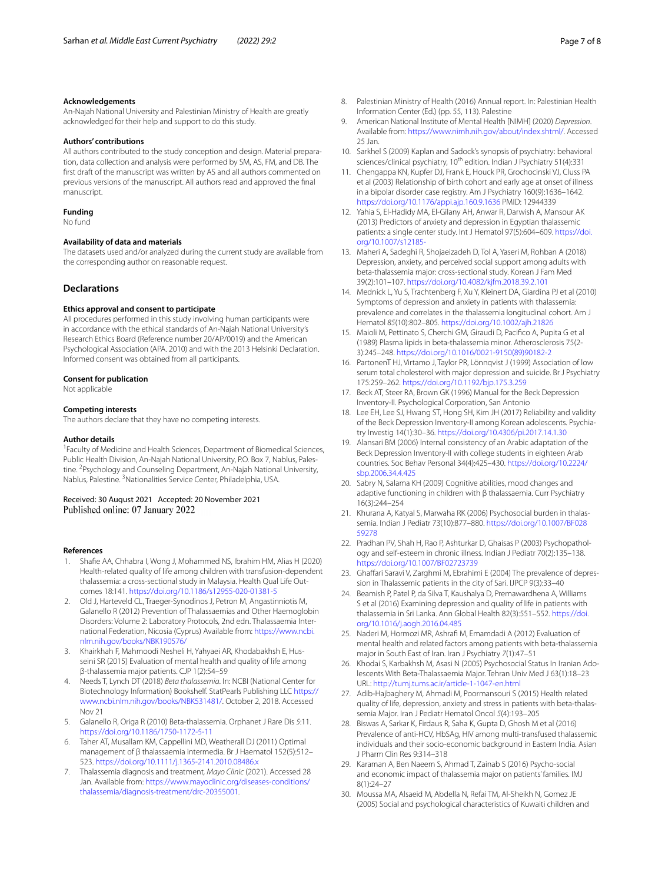An-Najah National University and Palestinian Ministry of Health are greatly acknowledged for their help and support to do this study.

#### **Authors' contributions**

All authors contributed to the study conception and design. Material preparation, data collection and analysis were performed by SM, AS, FM, and DB. The frst draft of the manuscript was written by AS and all authors commented on previous versions of the manuscript. All authors read and approved the fnal manuscript.

#### **Funding**

No fund

#### **Availability of data and materials**

The datasets used and/or analyzed during the current study are available from the corresponding author on reasonable request.

#### **Declarations**

#### **Ethics approval and consent to participate**

All procedures performed in this study involving human participants were in accordance with the ethical standards of An-Najah National University's Research Ethics Board (Reference number 20/AP/0019) and the American Psychological Association (APA. 2010) and with the 2013 Helsinki Declaration. Informed consent was obtained from all participants.

#### **Consent for publication**

Not applicable

#### **Competing interests**

The authors declare that they have no competing interests.

#### **Author details**

<sup>1</sup> Faculty of Medicine and Health Sciences, Department of Biomedical Sciences, Public Health Division, An-Najah National University, P.O. Box 7, Nablus, Palestine. <sup>2</sup>Psychology and Counseling Department, An-Najah National University, Nablus, Palestine. <sup>3</sup> Nationalities Service Center, Philadelphia, USA.

# Received: 30 August 2021 Accepted: 20 November 2021

#### **References**

- <span id="page-6-0"></span>1. Shafe AA, Chhabra I, Wong J, Mohammed NS, Ibrahim HM, Alias H (2020) Health-related quality of life among children with transfusion-dependent thalassemia: a cross-sectional study in Malaysia. Health Qual Life Outcomes 18:141. <https://doi.org/10.1186/s12955-020-01381-5>
- <span id="page-6-1"></span>2. Old J, Harteveld CL, Traeger-Synodinos J, Petron M, Angastinniotis M, Galanello R (2012) Prevention of Thalassaemias and Other Haemoglobin Disorders: Volume 2: Laboratory Protocols, 2nd edn. Thalassaemia International Federation, Nicosia (Cyprus) Available from: [https://www.ncbi.](https://www.ncbi.nlm.nih.gov/books/NBK190576/) [nlm.nih.gov/books/NBK190576/](https://www.ncbi.nlm.nih.gov/books/NBK190576/)
- <span id="page-6-2"></span>3. Khairkhah F, Mahmoodi Nesheli H, Yahyaei AR, Khodabakhsh E, Husseini SR (2015) Evaluation of mental health and quality of life among β-thalassemia major patients. CJP 1(2):54–59
- <span id="page-6-3"></span>4. Needs T, Lynch DT (2018) *Beta thalassemia*. In: NCBI (National Center for Biotechnology Information) Bookshelf. StatPearls Publishing LLC [https://](https://www.ncbi.nlm.nih.gov/books/NBK531481/) [www.ncbi.nlm.nih.gov/books/NBK531481/](https://www.ncbi.nlm.nih.gov/books/NBK531481/). October 2, 2018. Accessed Nov 21
- <span id="page-6-4"></span>5. Galanello R, Origa R (2010) Beta-thalassemia. Orphanet J Rare Dis *5*:11. <https://doi.org/10.1186/1750-1172-5-11>
- <span id="page-6-5"></span>6. Taher AT, Musallam KM, Cappellini MD, Weatherall DJ (2011) Optimal management of β thalassaemia intermedia. Br J Haematol 152(5):512– 523. <https://doi.org/10.1111/j.1365-2141.2010.08486.x>
- <span id="page-6-6"></span>7. Thalassemia diagnosis and treatment*, Mayo Clinic* (2021). Accessed 28 Jan. Available from: [https://www.mayoclinic.org/diseases-conditions/](https://www.mayoclinic.org/diseases-conditions/thalassemia/diagnosis-treatment/drc-20355001) [thalassemia/diagnosis-treatment/drc-20355001.](https://www.mayoclinic.org/diseases-conditions/thalassemia/diagnosis-treatment/drc-20355001)
- <span id="page-6-7"></span>8. Palestinian Ministry of Health (2016) Annual report. In: Palestinian Health Information Center (Ed.) (pp. 55, 113). Palestine
- <span id="page-6-8"></span>9. American National Institute of Mental Health [NIMH] (2020) *Depression*. Available from: [https://www.nimh.nih.gov/about/index.shtml/.](https://www.nimh.nih.gov/about/index.shtml/) Accessed 25 Jan.
- <span id="page-6-9"></span>10. Sarkhel S (2009) Kaplan and Sadock's synopsis of psychiatry: behavioral sciences/clinical psychiatry, 10<sup>th</sup> edition. Indian J Psychiatry 51(4):331
- <span id="page-6-10"></span>11. Chengappa KN, Kupfer DJ, Frank E, Houck PR, Grochocinski VJ, Cluss PA et al (2003) Relationship of birth cohort and early age at onset of illness in a bipolar disorder case registry. Am J Psychiatry 160(9):1636–1642. <https://doi.org/10.1176/appi.ajp.160.9.1636> PMID: 12944339
- <span id="page-6-11"></span>12. Yahia S, El-Hadidy MA, El-Gilany AH, Anwar R, Darwish A, Mansour AK (2013) Predictors of anxiety and depression in Egyptian thalassemic patients: a single center study. Int J Hematol 97(5):604–609. [https://doi.](https://doi.org/10.1007/s12185-) [org/10.1007/s12185-](https://doi.org/10.1007/s12185-)
- <span id="page-6-12"></span>13. Maheri A, Sadeghi R, Shojaeizadeh D, Tol A, Yaseri M, Rohban A (2018) Depression, anxiety, and perceived social support among adults with beta-thalassemia major: cross-sectional study. Korean J Fam Med 39(2):101–107. <https://doi.org/10.4082/kjfm.2018.39.2.101>
- <span id="page-6-13"></span>14. Mednick L, Yu S, Trachtenberg F, Xu Y, Kleinert DA, Giardina PJ et al (2010) Symptoms of depression and anxiety in patients with thalassemia: prevalence and correlates in the thalassemia longitudinal cohort. Am J Hematol *85*(10):802–805.<https://doi.org/10.1002/ajh.21826>
- <span id="page-6-14"></span>15. Maioli M, Pettinato S, Cherchi GM, Giraudi D, Pacifco A, Pupita G et al (1989) Plasma lipids in beta-thalassemia minor. Atherosclerosis 75(2- 3):245–248. [https://doi.org/10.1016/0021-9150\(89\)90182-2](https://doi.org/10.1016/0021-9150(89)90182-2)
- <span id="page-6-15"></span>16. PartonenT HJ, Virtamo J, Taylor PR, Lönnqvist J (1999) Association of low serum total cholesterol with major depression and suicide. Br J Psychiatry 175:259–262. <https://doi.org/10.1192/bjp.175.3.259>
- <span id="page-6-16"></span>17. Beck AT, Steer RA, Brown GK (1996) Manual for the Beck Depression Inventory-II. Psychological Corporation, San Antonio
- <span id="page-6-17"></span>18. Lee EH, Lee SJ, Hwang ST, Hong SH, Kim JH (2017) Reliability and validity of the Beck Depression Inventory-II among Korean adolescents. Psychiatry Investig 14(1):30–36.<https://doi.org/10.4306/pi.2017.14.1.30>
- <span id="page-6-18"></span>19. Alansari BM (2006) Internal consistency of an Arabic adaptation of the Beck Depression Inventory-II with college students in eighteen Arab countries. Soc Behav Personal 34(4):425–430. [https://doi.org/10.2224/](https://doi.org/10.2224/sbp.2006.34.4.425) [sbp.2006.34.4.425](https://doi.org/10.2224/sbp.2006.34.4.425)
- <span id="page-6-19"></span>20. Sabry N, Salama KH (2009) Cognitive abilities, mood changes and adaptive functioning in children with β thalassaemia. Curr Psychiatry 16(3):244–254
- <span id="page-6-20"></span>21. Khurana A, Katyal S, Marwaha RK (2006) Psychosocial burden in thalassemia. Indian J Pediatr 73(10):877–880. [https://doi.org/10.1007/BF028](https://doi.org/10.1007/BF02859278) [59278](https://doi.org/10.1007/BF02859278)
- <span id="page-6-21"></span>22. Pradhan PV, Shah H, Rao P, Ashturkar D, Ghaisas P (2003) Psychopathology and self-esteem in chronic illness. Indian J Pediatr 70(2):135–138. <https://doi.org/10.1007/BF02723739>
- <span id="page-6-22"></span>23. Ghaffari Saravi V, Zarghmi M, Ebrahimi E (2004) The prevalence of depression in Thalassemic patients in the city of Sari. IJPCP 9(3):33–40
- <span id="page-6-23"></span>24. Beamish P, Patel P, da Silva T, Kaushalya D, Premawardhena A, Williams S et al (2016) Examining depression and quality of life in patients with thalassemia in Sri Lanka. Ann Global Health 82(3):551–552. [https://doi.](https://doi.org/10.1016/j.aogh.2016.04.485) [org/10.1016/j.aogh.2016.04.485](https://doi.org/10.1016/j.aogh.2016.04.485)
- <span id="page-6-24"></span>25. Naderi M, Hormozi MR, Ashraf M, Emamdadi A (2012) Evaluation of mental health and related factors among patients with beta-thalassemia major in South East of Iran. Iran J Psychiatry *7*(1):47–51
- <span id="page-6-25"></span>26. Khodai S, Karbakhsh M, Asasi N (2005) Psychosocial Status In Iranian Adolescents With Beta-Thalassaemia Major. Tehran Univ Med J 63(1):18–23 URL: <http://tumj.tums.ac.ir/article-1-1047-en.html>
- <span id="page-6-26"></span>27. Adib-Hajbaghery M, Ahmadi M, Poormansouri S (2015) Health related quality of life, depression, anxiety and stress in patients with beta-thalassemia Major. Iran J Pediatr Hematol Oncol *5*(4):193–205
- <span id="page-6-27"></span>28. Biswas A, Sarkar K, Firdaus R, Saha K, Gupta D, Ghosh M et al (2016) Prevalence of anti-HCV, HbSAg, HIV among multi-transfused thalassemic individuals and their socio-economic background in Eastern India. Asian J Pharm Clin Res 9:314–318
- <span id="page-6-28"></span>29. Karaman A, Ben Naeem S, Ahmad T, Zainab S (2016) Psycho-social and economic impact of thalassemia major on patients' families. IMJ 8(1):24–27
- <span id="page-6-29"></span>30. Moussa MA, Alsaeid M, Abdella N, Refai TM, Al-Sheikh N, Gomez JE (2005) Social and psychological characteristics of Kuwaiti children and